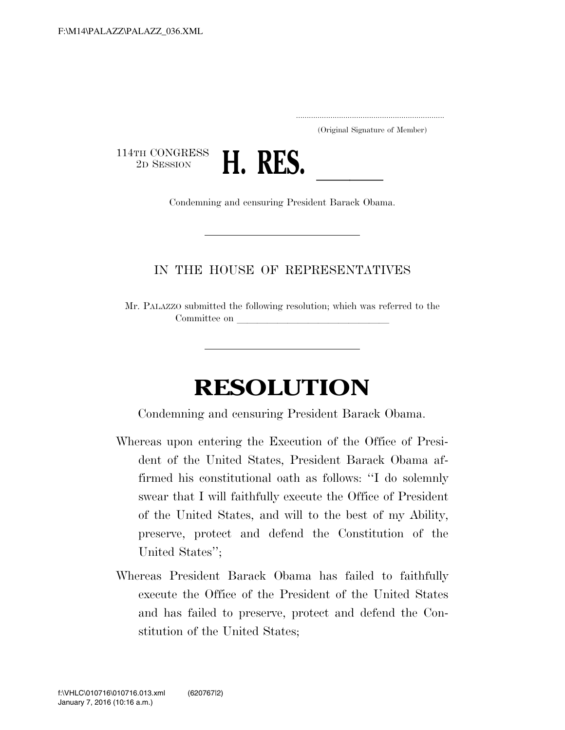.....................................................................

(Original Signature of Member)

114TH CONGRESS<br>2D SESSION



2D SESSION **H. RES.** Condemning and censuring President Barack Obama.

## IN THE HOUSE OF REPRESENTATIVES

Mr. PALAZZO submitted the following resolution; which was referred to the Committee on

## **RESOLUTION**

Condemning and censuring President Barack Obama.

- Whereas upon entering the Execution of the Office of President of the United States, President Barack Obama affirmed his constitutional oath as follows: ''I do solemnly swear that I will faithfully execute the Office of President of the United States, and will to the best of my Ability, preserve, protect and defend the Constitution of the United States'';
- Whereas President Barack Obama has failed to faithfully execute the Office of the President of the United States and has failed to preserve, protect and defend the Constitution of the United States;